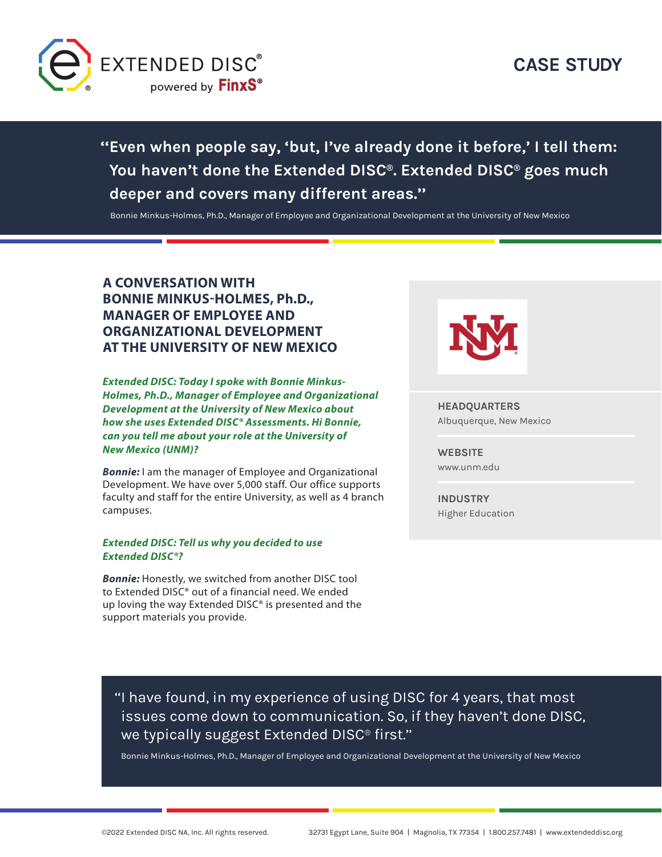

**''Even when people say, 'but, I've already done it before,' I tell them: You haven't done the Extended DISC®. Extended DISC® goes much deeper and covers many different areas.''**

Bonnie Minkus-Holmes, Ph.D., Manager of Employee and Organizational Development at the University of New Mexico

# **A CONVERSATION WITH BONNIE MINKUS-HOLMES, Ph.D., MANAGER OF EMPLOYEE AND ORGANIZATIONAL DEVELOPMENT AT THE UNIVERSITY OF NEW MEXICO**

*Extended DISC: Today I spoke with Bonnie Minkus-Holmes, Ph.D., Manager of Employee and Organizational Development at the University of New Mexico about how she uses Extended DISC® Assessments. Hi Bonnie, can you tell me about your role at the University of New Mexico (UNM)?*

*Bonnie:* I am the manager of Employee and Organizational Development. We have over 5,000 staff. Our office supports faculty and staff for the entire University, as well as 4 branch campuses.

#### *Extended DISC: Tell us why you decided to use Extended DISC®?*

*Bonnie:* Honestly, we switched from another DISC tool to Extended DISC® out of a financial need. We ended up loving the way Extended DISC® is presented and the support materials you provide.



**HEADQUARTERS**  Albuquerque, New Mexico

**WEBSITE** [www.unm.edu](http://www.unm.edu)

**INDUSTRY** Higher Education

''I have found, in my experience of using DISC for 4 years, that most issues come down to communication. So, if they haven't done DISC, we typically suggest Extended DISC® first.''

Bonnie Minkus-Holmes, Ph.D., Manager of Employee and Organizational Development at the University of New Mexico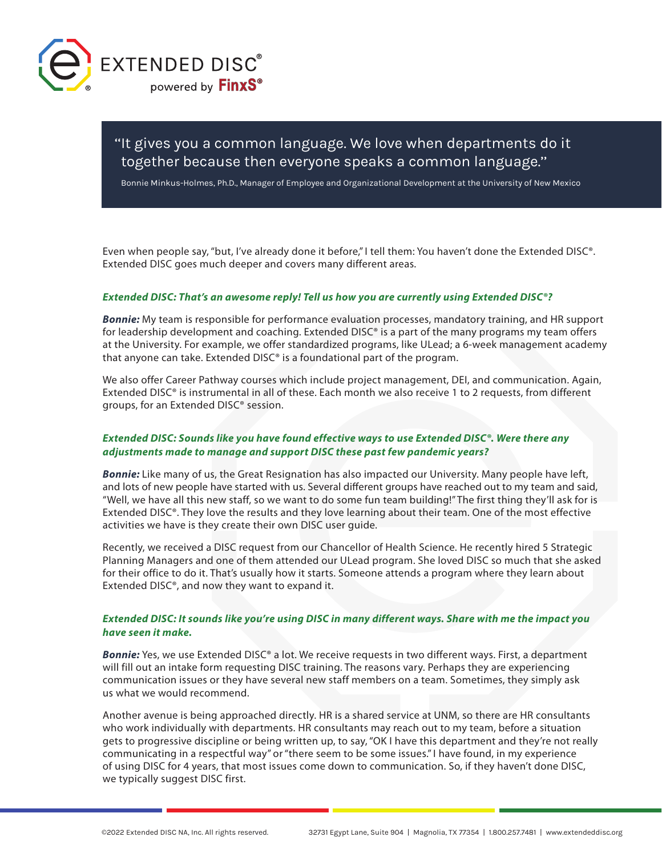

''It gives you a common language. We love when departments do it together because then everyone speaks a common language.''

Bonnie Minkus-Holmes, Ph.D., Manager of Employee and Organizational Development at the University of New Mexico

Even when people say, "but, I've already done it before," I tell them: You haven't done the Extended DISC®. Extended DISC goes much deeper and covers many different areas.

#### *Extended DISC: That's an awesome reply! Tell us how you are currently using Extended DISC®?*

*Bonnie:* My team is responsible for performance evaluation processes, mandatory training, and HR support for leadership development and coaching. Extended DISC® is a part of the many programs my team offers at the University. For example, we offer standardized programs, like ULead; a 6-week management academy that anyone can take. Extended DISC® is a foundational part of the program.

We also offer Career Pathway courses which include project management, DEI, and communication. Again, Extended DISC® is instrumental in all of these. Each month we also receive 1 to 2 requests, from different groups, for an Extended DISC® session.

### *Extended DISC: Sounds like you have found effective ways to use Extended DISC®. Were there any adjustments made to manage and support DISC these past few pandemic years?*

**Bonnie:** Like many of us, the Great Resignation has also impacted our University. Many people have left, and lots of new people have started with us. Several different groups have reached out to my team and said, "Well, we have all this new staff, so we want to do some fun team building!" The first thing they'll ask for is Extended DISC®. They love the results and they love learning about their team. One of the most effective activities we have is they create their own DISC user guide.

Recently, we received a DISC request from our Chancellor of Health Science. He recently hired 5 Strategic Planning Managers and one of them attended our ULead program. She loved DISC so much that she asked for their office to do it. That's usually how it starts. Someone attends a program where they learn about Extended DISC®, and now they want to expand it.

# *Extended DISC: It sounds like you're using DISC in many different ways. Share with me the impact you have seen it make.*

Bonnie: Yes, we use Extended DISC<sup>®</sup> a lot. We receive requests in two different ways. First, a department will fill out an intake form requesting DISC training. The reasons vary. Perhaps they are experiencing communication issues or they have several new staff members on a team. Sometimes, they simply ask us what we would recommend.

Another avenue is being approached directly. HR is a shared service at UNM, so there are HR consultants who work individually with departments. HR consultants may reach out to my team, before a situation gets to progressive discipline or being written up, to say, "OK I have this department and they're not really communicating in a respectful way" or "there seem to be some issues." I have found, in my experience of using DISC for 4 years, that most issues come down to communication. So, if they haven't done DISC, we typically suggest DISC first.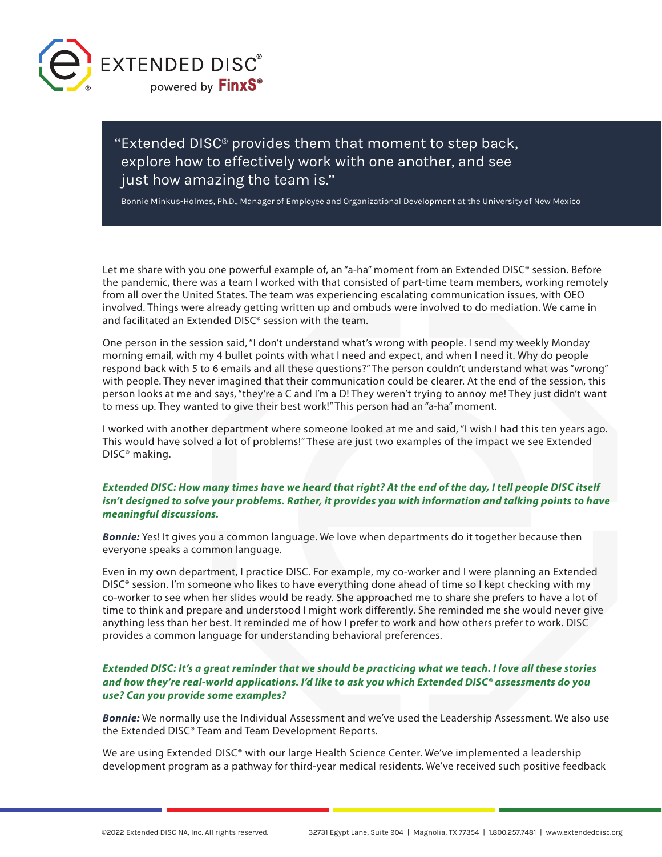

''Extended DISC® provides them that moment to step back, explore how to effectively work with one another, and see just how amazing the team is."

Bonnie Minkus-Holmes, Ph.D., Manager of Employee and Organizational Development at the University of New Mexico

Let me share with you one powerful example of, an "a-ha" moment from an Extended DISC® session. Before the pandemic, there was a team I worked with that consisted of part-time team members, working remotely from all over the United States. The team was experiencing escalating communication issues, with OEO involved. Things were already getting written up and ombuds were involved to do mediation. We came in and facilitated an Extended DISC® session with the team.

One person in the session said, "I don't understand what's wrong with people. I send my weekly Monday morning email, with my 4 bullet points with what I need and expect, and when I need it. Why do people respond back with 5 to 6 emails and all these questions?" The person couldn't understand what was "wrong" with people. They never imagined that their communication could be clearer. At the end of the session, this person looks at me and says, "they're a C and I'm a D! They weren't trying to annoy me! They just didn't want to mess up. They wanted to give their best work!" This person had an "a-ha" moment.

I worked with another department where someone looked at me and said, "I wish I had this ten years ago. This would have solved a lot of problems!" These are just two examples of the impact we see Extended DISC® making.

# *Extended DISC: How many times have we heard that right? At the end of the day, I tell people DISC itself isn't designed to solve your problems. Rather, it provides you with information and talking points to have meaningful discussions.*

**Bonnie:** Yes! It gives you a common language. We love when departments do it together because then everyone speaks a common language.

Even in my own department, I practice DISC. For example, my co-worker and I were planning an Extended DISC® session. I'm someone who likes to have everything done ahead of time so I kept checking with my co-worker to see when her slides would be ready. She approached me to share she prefers to have a lot of time to think and prepare and understood I might work differently. She reminded me she would never give anything less than her best. It reminded me of how I prefer to work and how others prefer to work. DISC provides a common language for understanding behavioral preferences.

# *Extended DISC: It's a great reminder that we should be practicing what we teach. I love all these stories and how they're real-world applications. I'd like to ask you which Extended DISC® assessments do you use? Can you provide some examples?*

*Bonnie:* We normally use the Individual Assessment and we've used the Leadership Assessment. We also use the Extended DISC® Team and Team Development Reports.

We are using Extended DISC® with our large Health Science Center. We've implemented a leadership development program as a pathway for third-year medical residents. We've received such positive feedback